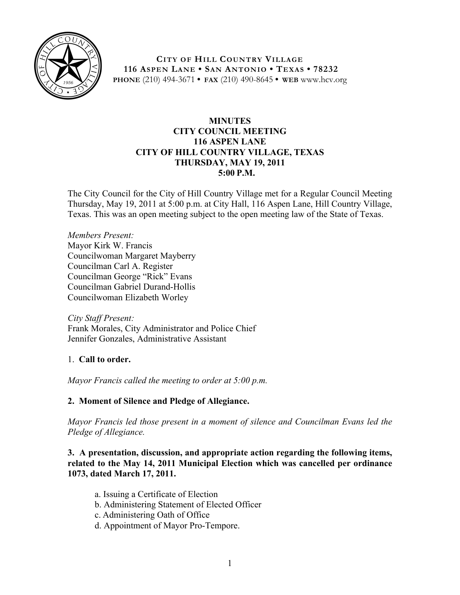

**CITY OF HILL COUNTRY VILLAGE 116 ASPEN LANE • SAN ANTONIO • TEXAS • 78232 PHONE** (210) 494-3671 **• FAX** (210) 490-8645 **• WEB** www.hcv.org

### **MINUTES CITY COUNCIL MEETING 116 ASPEN LANE CITY OF HILL COUNTRY VILLAGE, TEXAS THURSDAY, MAY 19, 2011 5:00 P.M.**

The City Council for the City of Hill Country Village met for a Regular Council Meeting Thursday, May 19, 2011 at 5:00 p.m. at City Hall, 116 Aspen Lane, Hill Country Village, Texas. This was an open meeting subject to the open meeting law of the State of Texas.

*Members Present:* Mayor Kirk W. Francis Councilwoman Margaret Mayberry Councilman Carl A. Register Councilman George "Rick" Evans Councilman Gabriel Durand-Hollis Councilwoman Elizabeth Worley

*City Staff Present:* Frank Morales, City Administrator and Police Chief Jennifer Gonzales, Administrative Assistant

# 1. **Call to order.**

*Mayor Francis called the meeting to order at 5:00 p.m.*

# **2. Moment of Silence and Pledge of Allegiance.**

*Mayor Francis led those present in a moment of silence and Councilman Evans led the Pledge of Allegiance.*

**3. A presentation, discussion, and appropriate action regarding the following items, related to the May 14, 2011 Municipal Election which was cancelled per ordinance 1073, dated March 17, 2011.** 

- a. Issuing a Certificate of Election
- b. Administering Statement of Elected Officer
- c. Administering Oath of Office
- d. Appointment of Mayor Pro-Tempore.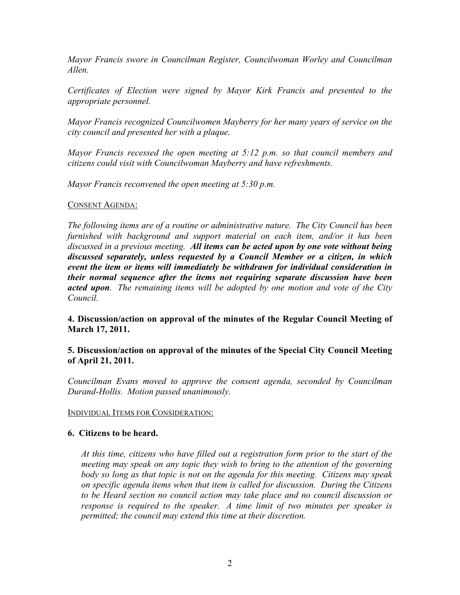*Mayor Francis swore in Councilman Register, Councilwoman Worley and Councilman Allen.*

*Certificates of Election were signed by Mayor Kirk Francis and presented to the appropriate personnel.* 

*Mayor Francis recognized Councilwomen Mayberry for her many years of service on the city council and presented her with a plaque.*

*Mayor Francis recessed the open meeting at 5:12 p.m. so that council members and citizens could visit with Councilwoman Mayberry and have refreshments.*

*Mayor Francis reconvened the open meeting at 5:30 p.m.*

### CONSENT AGENDA:

*The following items are of a routine or administrative nature. The City Council has been furnished with background and support material on each item, and/or it has been discussed in a previous meeting. All items can be acted upon by one vote without being discussed separately, unless requested by a Council Member or a citizen, in which event the item or items will immediately be withdrawn for individual consideration in their normal sequence after the items not requiring separate discussion have been acted upon. The remaining items will be adopted by one motion and vote of the City Council.*

# **4. Discussion/action on approval of the minutes of the Regular Council Meeting of March 17, 2011.**

### **5. Discussion/action on approval of the minutes of the Special City Council Meeting of April 21, 2011.**

*Councilman Evans moved to approve the consent agenda, seconded by Councilman Durand-Hollis. Motion passed unanimously.*

#### INDIVIDUAL ITEMS FOR CONSIDERATION:

#### **6. Citizens to be heard.**

*At this time, citizens who have filled out a registration form prior to the start of the meeting may speak on any topic they wish to bring to the attention of the governing body so long as that topic is not on the agenda for this meeting. Citizens may speak on specific agenda items when that item is called for discussion. During the Citizens to be Heard section no council action may take place and no council discussion or response is required to the speaker. A time limit of two minutes per speaker is permitted; the council may extend this time at their discretion.*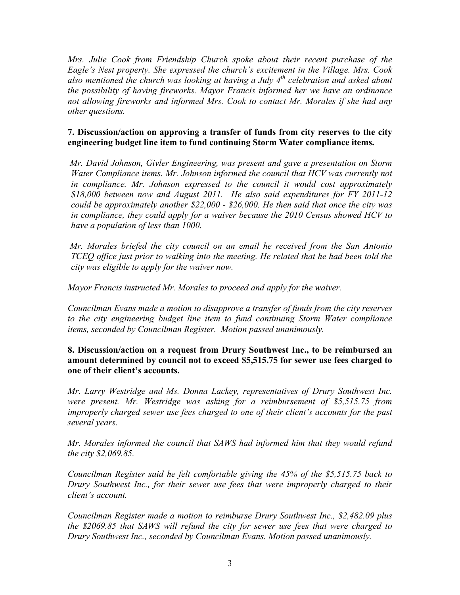*Mrs. Julie Cook from Friendship Church spoke about their recent purchase of the Eagle's Nest property. She expressed the church's excitement in the Village. Mrs. Cook also mentioned the church was looking at having a July 4th celebration and asked about the possibility of having fireworks. Mayor Francis informed her we have an ordinance not allowing fireworks and informed Mrs. Cook to contact Mr. Morales if she had any other questions.*

# **7. Discussion/action on approving a transfer of funds from city reserves to the city engineering budget line item to fund continuing Storm Water compliance items.**

*Mr. David Johnson, Givler Engineering, was present and gave a presentation on Storm Water Compliance items. Mr. Johnson informed the council that HCV was currently not in compliance. Mr. Johnson expressed to the council it would cost approximately \$18,000 between now and August 2011. He also said expenditures for FY 2011-12 could be approximately another \$22,000 - \$26,000. He then said that once the city was in compliance, they could apply for a waiver because the 2010 Census showed HCV to have a population of less than 1000.*

 *Mr. Morales briefed the city council on an email he received from the San Antonio TCEQ office just prior to walking into the meeting. He related that he had been told the city was eligible to apply for the waiver now.*

*Mayor Francis instructed Mr. Morales to proceed and apply for the waiver.*

*Councilman Evans made a motion to disapprove a transfer of funds from the city reserves to the city engineering budget line item to fund continuing Storm Water compliance items, seconded by Councilman Register. Motion passed unanimously.*

**8. Discussion/action on a request from Drury Southwest Inc., to be reimbursed an amount determined by council not to exceed \$5,515.75 for sewer use fees charged to one of their client's accounts.**

*Mr. Larry Westridge and Ms. Donna Lackey, representatives of Drury Southwest Inc. were present. Mr. Westridge was asking for a reimbursement of \$5,515.75 from improperly charged sewer use fees charged to one of their client's accounts for the past several years.*

*Mr. Morales informed the council that SAWS had informed him that they would refund the city \$2,069.85.* 

*Councilman Register said he felt comfortable giving the 45% of the \$5,515.75 back to Drury Southwest Inc., for their sewer use fees that were improperly charged to their client's account.*

*Councilman Register made a motion to reimburse Drury Southwest Inc., \$2,482.09 plus the \$2069.85 that SAWS will refund the city for sewer use fees that were charged to Drury Southwest Inc., seconded by Councilman Evans. Motion passed unanimously.*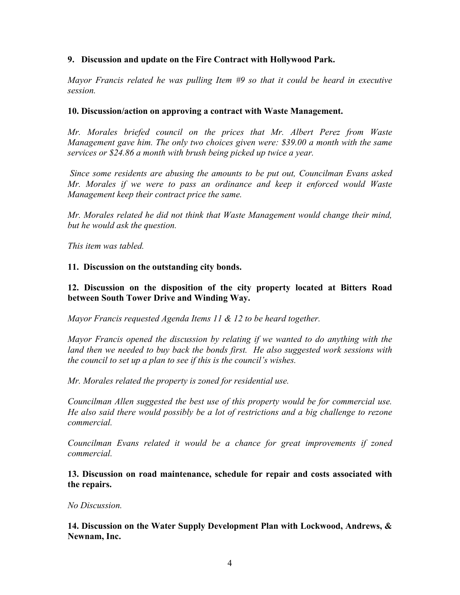### **9. Discussion and update on the Fire Contract with Hollywood Park.**

*Mayor Francis related he was pulling Item #9 so that it could be heard in executive session.*

#### **10. Discussion/action on approving a contract with Waste Management.**

*Mr. Morales briefed council on the prices that Mr. Albert Perez from Waste Management gave him. The only two choices given were: \$39.00 a month with the same services or \$24.86 a month with brush being picked up twice a year.* 

 *Since some residents are abusing the amounts to be put out, Councilman Evans asked Mr. Morales if we were to pass an ordinance and keep it enforced would Waste Management keep their contract price the same.* 

*Mr. Morales related he did not think that Waste Management would change their mind, but he would ask the question.*

*This item was tabled.*

#### **11. Discussion on the outstanding city bonds.**

#### **12. Discussion on the disposition of the city property located at Bitters Road between South Tower Drive and Winding Way.**

*Mayor Francis requested Agenda Items 11 & 12 to be heard together.*

*Mayor Francis opened the discussion by relating if we wanted to do anything with the land then we needed to buy back the bonds first. He also suggested work sessions with the council to set up a plan to see if this is the council's wishes.*

*Mr. Morales related the property is zoned for residential use.*

*Councilman Allen suggested the best use of this property would be for commercial use. He also said there would possibly be a lot of restrictions and a big challenge to rezone commercial.*

*Councilman Evans related it would be a chance for great improvements if zoned commercial.* 

**13. Discussion on road maintenance, schedule for repair and costs associated with the repairs.**

*No Discussion.*

**14. Discussion on the Water Supply Development Plan with Lockwood, Andrews, & Newnam, Inc.**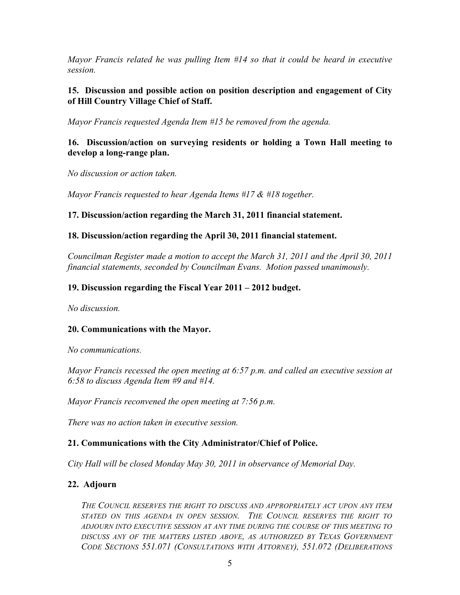*Mayor Francis related he was pulling Item #14 so that it could be heard in executive session.*

### **15. Discussion and possible action on position description and engagement of City of Hill Country Village Chief of Staff.**

*Mayor Francis requested Agenda Item #15 be removed from the agenda.*

## **16. Discussion/action on surveying residents or holding a Town Hall meeting to develop a long-range plan.**

*No discussion or action taken.*

*Mayor Francis requested to hear Agenda Items #17 & #18 together.*

# **17. Discussion/action regarding the March 31, 2011 financial statement.**

### **18. Discussion/action regarding the April 30, 2011 financial statement.**

*Councilman Register made a motion to accept the March 31, 2011 and the April 30, 2011 financial statements, seconded by Councilman Evans. Motion passed unanimously.*

### **19. Discussion regarding the Fiscal Year 2011 – 2012 budget.**

*No discussion.*

# **20. Communications with the Mayor.**

*No communications.*

*Mayor Francis recessed the open meeting at 6:57 p.m. and called an executive session at 6:58 to discuss Agenda Item #9 and #14.*

*Mayor Francis reconvened the open meeting at 7:56 p.m.* 

*There was no action taken in executive session.*

# **21. Communications with the City Administrator/Chief of Police.**

*City Hall will be closed Monday May 30, 2011 in observance of Memorial Day.*

# **22. Adjourn**

*THE COUNCIL RESERVES THE RIGHT TO DISCUSS AND APPROPRIATELY ACT UPON ANY ITEM STATED ON THIS AGENDA IN OPEN SESSION. THE COUNCIL RESERVES THE RIGHT TO ADJOURN INTO EXECUTIVE SESSION AT ANY TIME DURING THE COURSE OF THIS MEETING TO DISCUSS ANY OF THE MATTERS LISTED ABOVE, AS AUTHORIZED BY TEXAS GOVERNMENT CODE SECTIONS 551.071 (CONSULTATIONS WITH ATTORNEY), 551.072 (DELIBERATIONS*